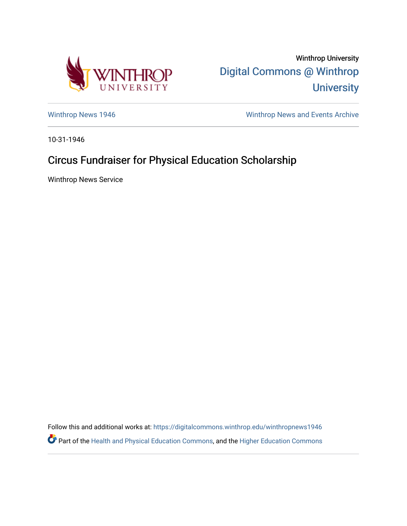

Winthrop University [Digital Commons @ Winthrop](https://digitalcommons.winthrop.edu/)  **University** 

[Winthrop News 1946](https://digitalcommons.winthrop.edu/winthropnews1946) Minthrop News and Events Archive

10-31-1946

## Circus Fundraiser for Physical Education Scholarship

Winthrop News Service

Follow this and additional works at: [https://digitalcommons.winthrop.edu/winthropnews1946](https://digitalcommons.winthrop.edu/winthropnews1946?utm_source=digitalcommons.winthrop.edu%2Fwinthropnews1946%2F36&utm_medium=PDF&utm_campaign=PDFCoverPages)  Part of the [Health and Physical Education Commons](http://network.bepress.com/hgg/discipline/1327?utm_source=digitalcommons.winthrop.edu%2Fwinthropnews1946%2F36&utm_medium=PDF&utm_campaign=PDFCoverPages), and the [Higher Education Commons](http://network.bepress.com/hgg/discipline/1245?utm_source=digitalcommons.winthrop.edu%2Fwinthropnews1946%2F36&utm_medium=PDF&utm_campaign=PDFCoverPages)